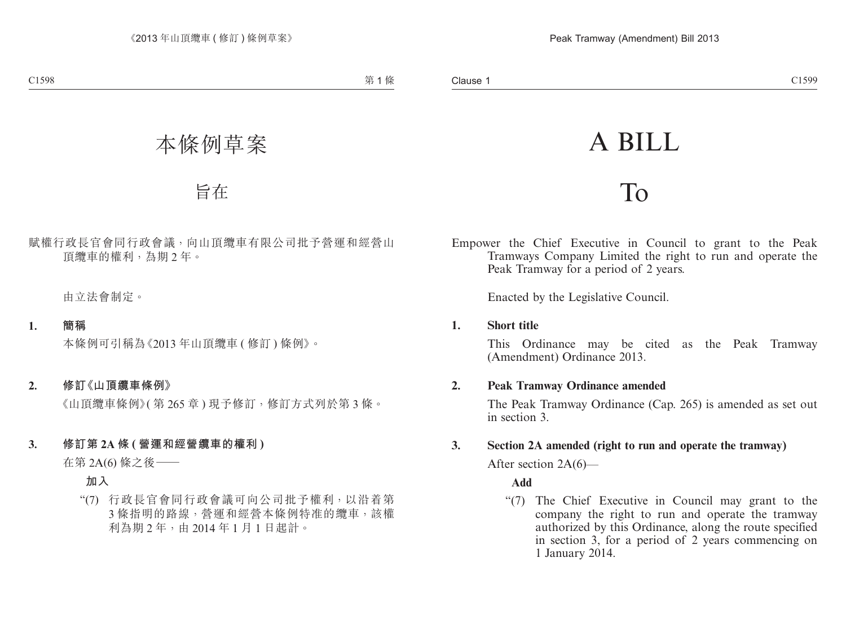# A BILL

## To

Empower the Chief Executive in Council to grant to the Peak Tramways Company Limited the right to run and operate the Peak Tramway for a period of 2 years.

Enacted by the Legislative Council.

#### **1. Short title**

This Ordinance may be cited as the Peak Tramway (Amendment) Ordinance 2013.

### **2. Peak Tramway Ordinance amended**

The Peak Tramway Ordinance (Cap. 265) is amended as set out in section 3.

### **3. Section 2A amended (right to run and operate the tramway)**

After section 2A(6)—

**Add**

"(7) The Chief Executive in Council may grant to the company the right to run and operate the tramway authorized by this Ordinance, along the route specified in section 3, for a period of 2 years commencing on 1 January 2014.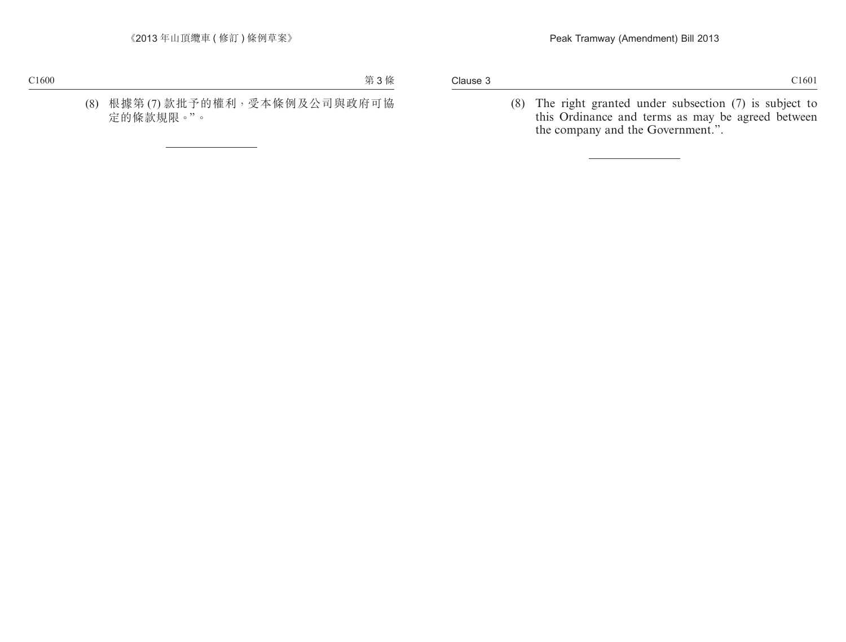(8) The right granted under subsection (7) is subject to this Ordinance and terms as may be agreed between the company and the Government.".